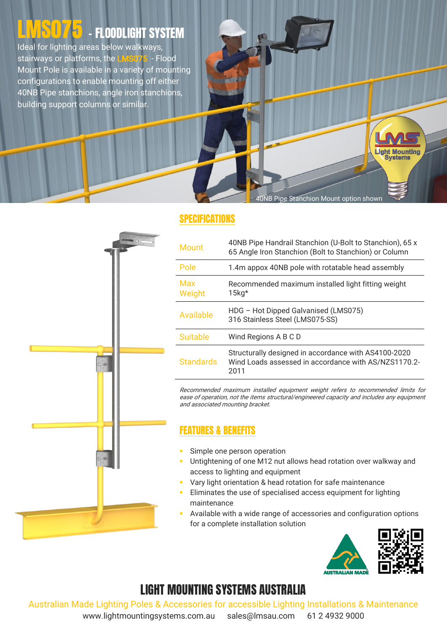# LIMSO75 - FLOODLIGHT SYSTEM

Ideal for lighting areas below walkways, stairways or platforms, the LMS075 - Flood Mount Pole is available in a variety of mounting configurations to enable mounting off either 40NB Pipe stanchions, angle iron stanchions, building support columns or similar.

40NB Pipe Stanchion Mount option shown

**Light Mounting Systems** 

#### SPECIFICATIONS

| <b>Mount</b>         | 40NB Pipe Handrail Stanchion (U-Bolt to Stanchion), 65 x<br>65 Angle Iron Stanchion (Bolt to Stanchion) or Column    |
|----------------------|----------------------------------------------------------------------------------------------------------------------|
| Pole                 | 1.4m appox 40NB pole with rotatable head assembly                                                                    |
| <b>Max</b><br>Weight | Recommended maximum installed light fitting weight<br>$15$ kg*                                                       |
| Available            | HDG - Hot Dipped Galvanised (LMS075)<br>316 Stainless Steel (LMS075-SS)                                              |
| <b>Suitable</b>      | Wind Regions A B C D                                                                                                 |
| <b>Standards</b>     | Structurally designed in accordance with AS4100-2020<br>Wind Loads assessed in accordance with AS/NZS1170.2-<br>2011 |

Recommended maximum installed equipment weight refers to recommended limits for ease of operation, not the items structural/engineered capacity and includes any equipment and associated mounting bracket.

### FEATURES & BENEFITS

- Simple one person operation
- Untightening of one M12 nut allows head rotation over walkway and access to lighting and equipment
- Vary light orientation & head rotation for safe maintenance
- Eliminates the use of specialised access equipment for lighting maintenance
- Available with a wide range of accessories and configuration options for a complete installation solution



## LIGHT MOUNTING SYSTEMS AUSTRALIA

Australian Made Lighting Poles & Accessories for accessible Lighting Installations & Maintenance

www.lightmountingsystems.com.au sales@lmsau.com 61 2 4932 9000